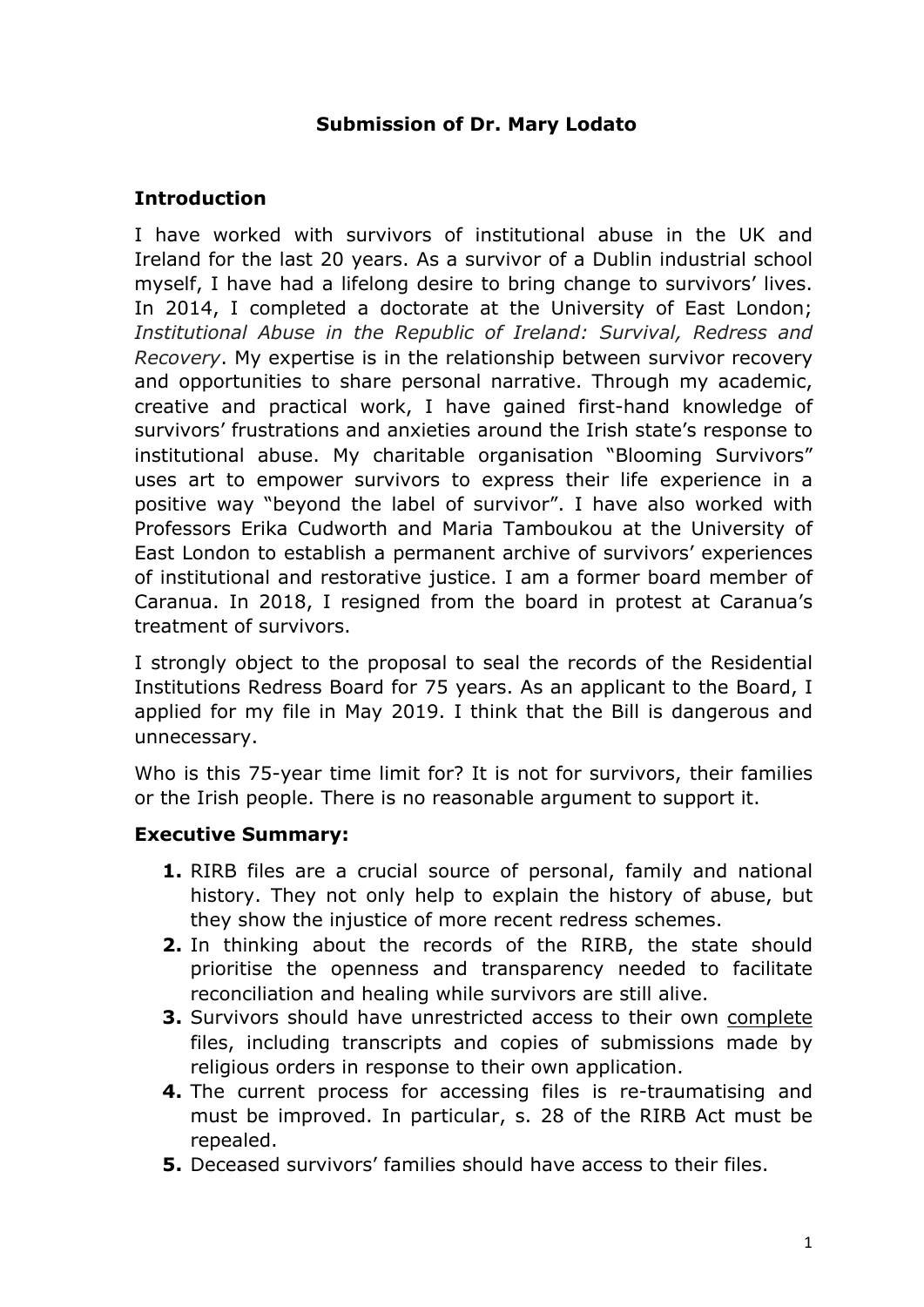## **Submission of Dr. Mary Lodato**

### **Introduction**

I have worked with survivors of institutional abuse in the UK and Ireland for the last 20 years. As a survivor of a Dublin industrial school myself, I have had a lifelong desire to bring change to survivors' lives. In 2014, I completed a doctorate at the University of East London; *Institutional Abuse in the Republic of Ireland: Survival, Redress and Recovery*. My expertise is in the relationship between survivor recovery and opportunities to share personal narrative. Through my academic, creative and practical work, I have gained first-hand knowledge of survivors' frustrations and anxieties around the Irish state's response to institutional abuse. My charitable organisation "Blooming Survivors" uses art to empower survivors to express their life experience in a positive way "beyond the label of survivor". I have also worked with Professors Erika Cudworth and Maria Tamboukou at the University of East London to establish a permanent archive of survivors' experiences of institutional and restorative justice. I am a former board member of Caranua. In 2018, I resigned from the board in protest at Caranua's treatment of survivors.

I strongly object to the proposal to seal the records of the Residential Institutions Redress Board for 75 years. As an applicant to the Board, I applied for my file in May 2019. I think that the Bill is dangerous and unnecessary.

Who is this 75-year time limit for? It is not for survivors, their families or the Irish people. There is no reasonable argument to support it.

#### **Executive Summary:**

- **1.** RIRB files are a crucial source of personal, family and national history. They not only help to explain the history of abuse, but they show the injustice of more recent redress schemes.
- **2.** In thinking about the records of the RIRB, the state should prioritise the openness and transparency needed to facilitate reconciliation and healing while survivors are still alive.
- **3.** Survivors should have unrestricted access to their own complete files, including transcripts and copies of submissions made by religious orders in response to their own application.
- **4.** The current process for accessing files is re-traumatising and must be improved. In particular, s. 28 of the RIRB Act must be repealed.
- **5.** Deceased survivors' families should have access to their files.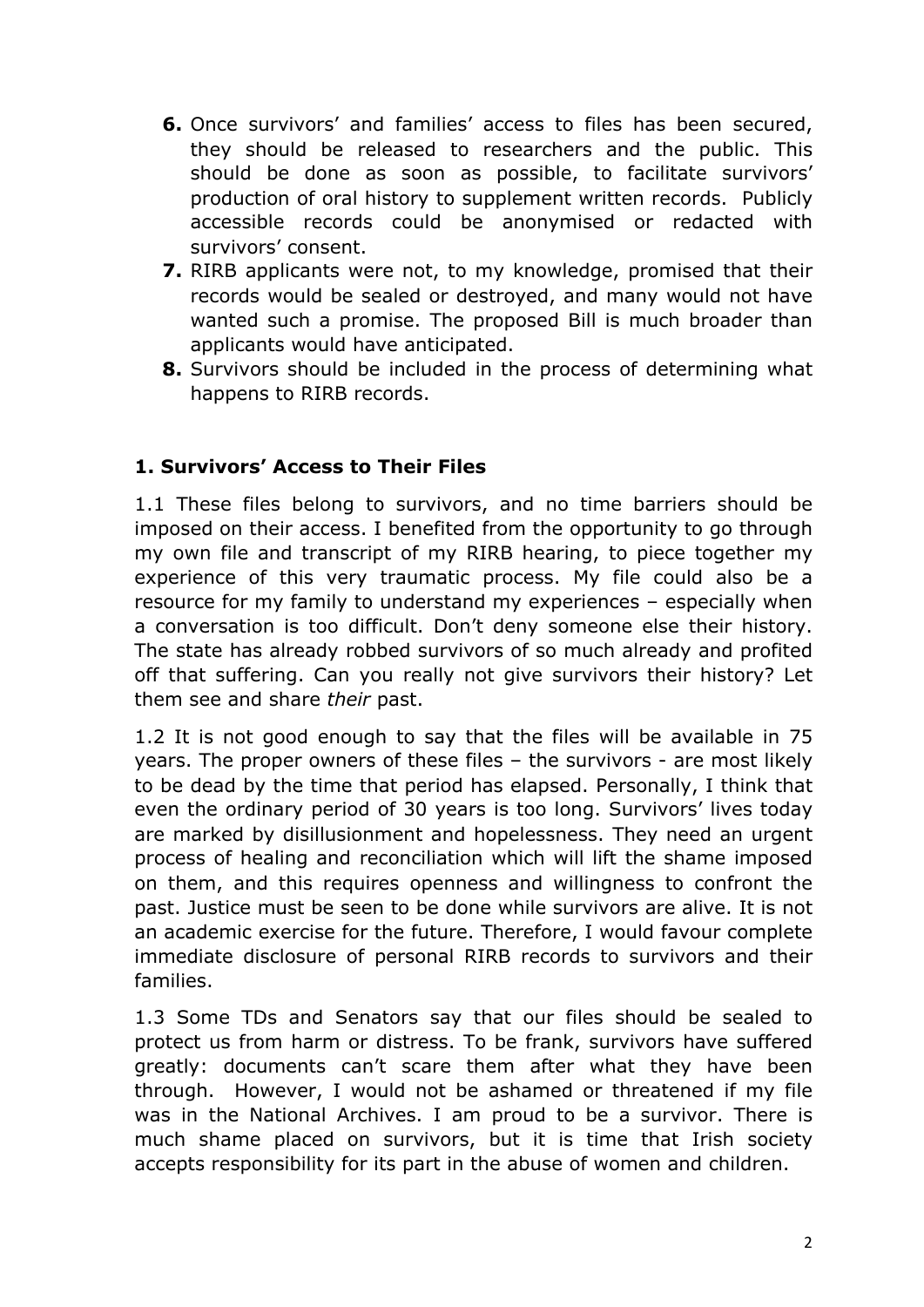- **6.** Once survivors' and families' access to files has been secured, they should be released to researchers and the public. This should be done as soon as possible, to facilitate survivors' production of oral history to supplement written records. Publicly accessible records could be anonymised or redacted with survivors' consent.
- **7.** RIRB applicants were not, to my knowledge, promised that their records would be sealed or destroyed, and many would not have wanted such a promise. The proposed Bill is much broader than applicants would have anticipated.
- **8.** Survivors should be included in the process of determining what happens to RIRB records.

## **1. Survivors' Access to Their Files**

1.1 These files belong to survivors, and no time barriers should be imposed on their access. I benefited from the opportunity to go through my own file and transcript of my RIRB hearing, to piece together my experience of this very traumatic process. My file could also be a resource for my family to understand my experiences – especially when a conversation is too difficult. Don't deny someone else their history. The state has already robbed survivors of so much already and profited off that suffering. Can you really not give survivors their history? Let them see and share *their* past.

1.2 It is not good enough to say that the files will be available in 75 years. The proper owners of these files – the survivors - are most likely to be dead by the time that period has elapsed. Personally, I think that even the ordinary period of 30 years is too long. Survivors' lives today are marked by disillusionment and hopelessness. They need an urgent process of healing and reconciliation which will lift the shame imposed on them, and this requires openness and willingness to confront the past. Justice must be seen to be done while survivors are alive. It is not an academic exercise for the future. Therefore, I would favour complete immediate disclosure of personal RIRB records to survivors and their families.

1.3 Some TDs and Senators say that our files should be sealed to protect us from harm or distress. To be frank, survivors have suffered greatly: documents can't scare them after what they have been through. However, I would not be ashamed or threatened if my file was in the National Archives. I am proud to be a survivor. There is much shame placed on survivors, but it is time that Irish society accepts responsibility for its part in the abuse of women and children.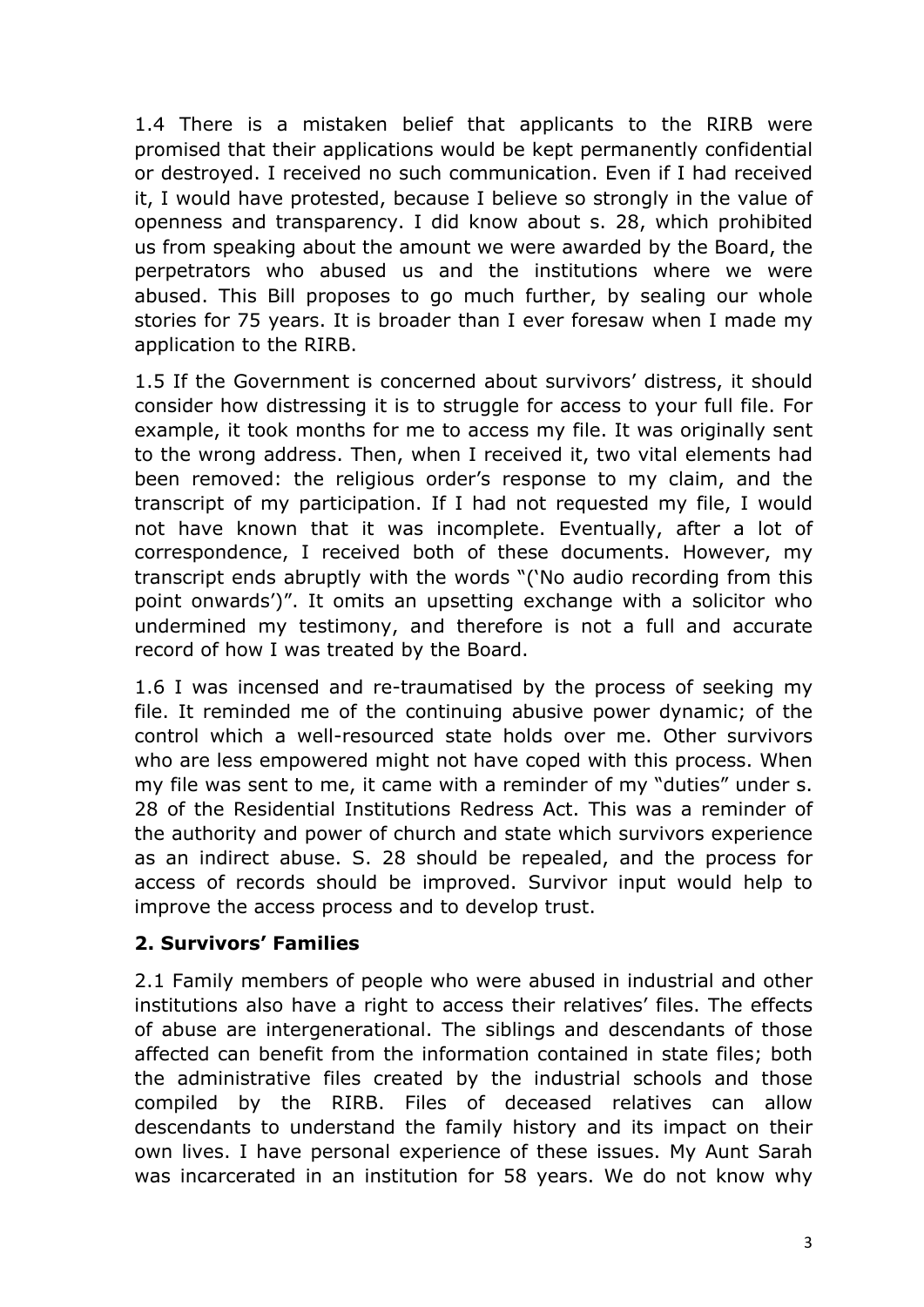1.4 There is a mistaken belief that applicants to the RIRB were promised that their applications would be kept permanently confidential or destroyed. I received no such communication. Even if I had received it, I would have protested, because I believe so strongly in the value of openness and transparency. I did know about s. 28, which prohibited us from speaking about the amount we were awarded by the Board, the perpetrators who abused us and the institutions where we were abused. This Bill proposes to go much further, by sealing our whole stories for 75 years. It is broader than I ever foresaw when I made my application to the RIRB.

1.5 If the Government is concerned about survivors' distress, it should consider how distressing it is to struggle for access to your full file. For example, it took months for me to access my file. It was originally sent to the wrong address. Then, when I received it, two vital elements had been removed: the religious order's response to my claim, and the transcript of my participation. If I had not requested my file, I would not have known that it was incomplete. Eventually, after a lot of correspondence, I received both of these documents. However, my transcript ends abruptly with the words "('No audio recording from this point onwards')". It omits an upsetting exchange with a solicitor who undermined my testimony, and therefore is not a full and accurate record of how I was treated by the Board.

1.6 I was incensed and re-traumatised by the process of seeking my file. It reminded me of the continuing abusive power dynamic; of the control which a well-resourced state holds over me. Other survivors who are less empowered might not have coped with this process. When my file was sent to me, it came with a reminder of my "duties" under s. 28 of the Residential Institutions Redress Act. This was a reminder of the authority and power of church and state which survivors experience as an indirect abuse. S. 28 should be repealed, and the process for access of records should be improved. Survivor input would help to improve the access process and to develop trust.

# **2. Survivors' Families**

2.1 Family members of people who were abused in industrial and other institutions also have a right to access their relatives' files. The effects of abuse are intergenerational. The siblings and descendants of those affected can benefit from the information contained in state files; both the administrative files created by the industrial schools and those compiled by the RIRB. Files of deceased relatives can allow descendants to understand the family history and its impact on their own lives. I have personal experience of these issues. My Aunt Sarah was incarcerated in an institution for 58 years. We do not know why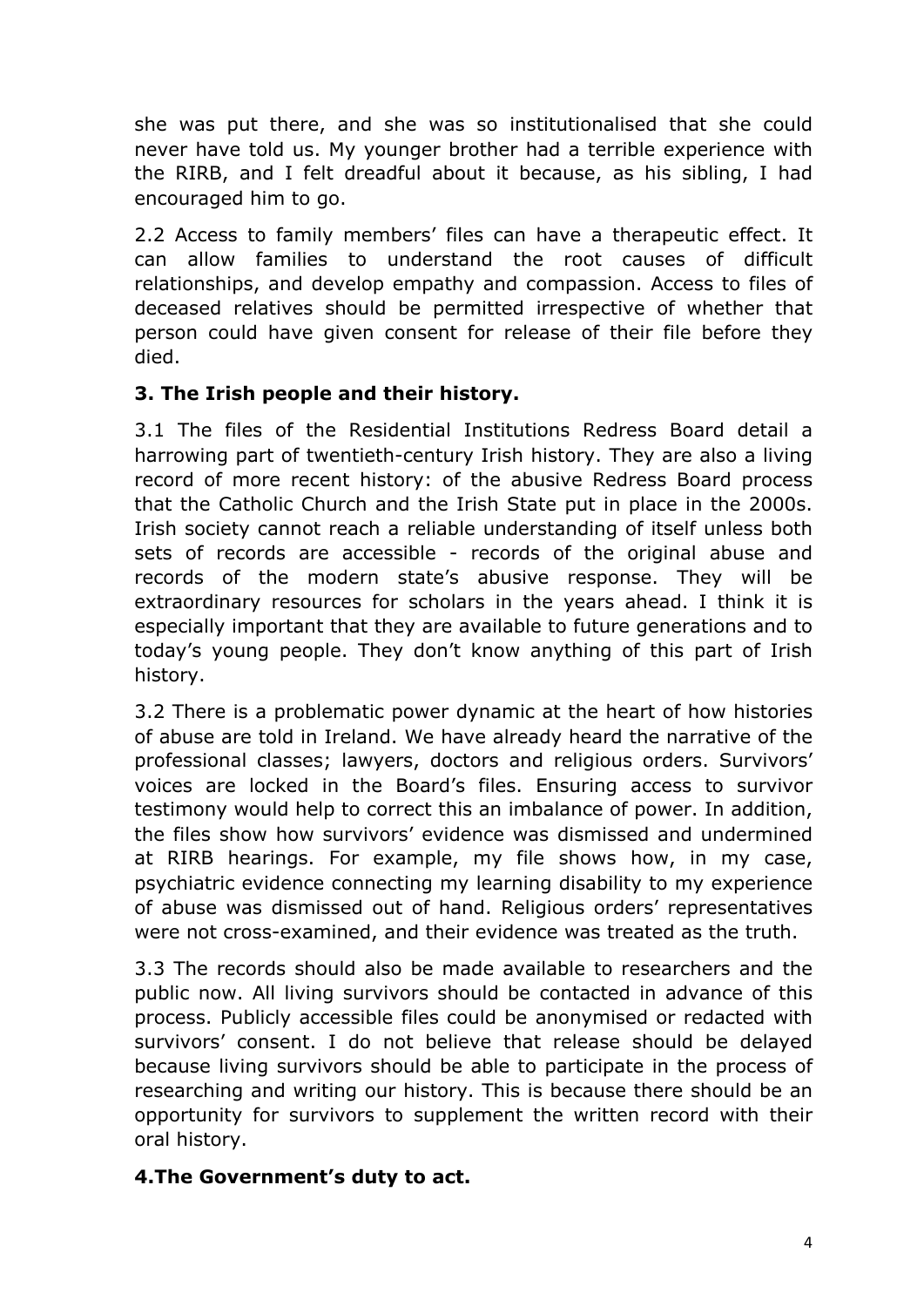she was put there, and she was so institutionalised that she could never have told us. My younger brother had a terrible experience with the RIRB, and I felt dreadful about it because, as his sibling, I had encouraged him to go.

2.2 Access to family members' files can have a therapeutic effect. It can allow families to understand the root causes of difficult relationships, and develop empathy and compassion. Access to files of deceased relatives should be permitted irrespective of whether that person could have given consent for release of their file before they died.

## **3. The Irish people and their history.**

3.1 The files of the Residential Institutions Redress Board detail a harrowing part of twentieth-century Irish history. They are also a living record of more recent history: of the abusive Redress Board process that the Catholic Church and the Irish State put in place in the 2000s. Irish society cannot reach a reliable understanding of itself unless both sets of records are accessible - records of the original abuse and records of the modern state's abusive response. They will be extraordinary resources for scholars in the years ahead. I think it is especially important that they are available to future generations and to today's young people. They don't know anything of this part of Irish history.

3.2 There is a problematic power dynamic at the heart of how histories of abuse are told in Ireland. We have already heard the narrative of the professional classes; lawyers, doctors and religious orders. Survivors' voices are locked in the Board's files. Ensuring access to survivor testimony would help to correct this an imbalance of power. In addition, the files show how survivors' evidence was dismissed and undermined at RIRB hearings. For example, my file shows how, in my case, psychiatric evidence connecting my learning disability to my experience of abuse was dismissed out of hand. Religious orders' representatives were not cross-examined, and their evidence was treated as the truth.

3.3 The records should also be made available to researchers and the public now. All living survivors should be contacted in advance of this process. Publicly accessible files could be anonymised or redacted with survivors' consent. I do not believe that release should be delayed because living survivors should be able to participate in the process of researching and writing our history. This is because there should be an opportunity for survivors to supplement the written record with their oral history.

## **4.The Government's duty to act.**